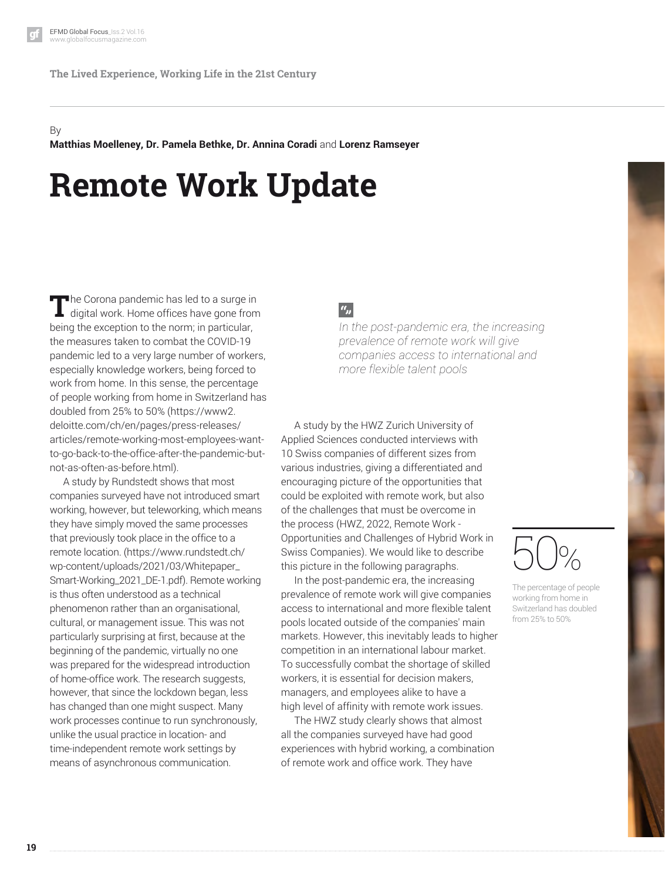**The Lived Experience, Working Life in the 21st Century**

### By **Matthias Moelleney, Dr. Pamela Bethke, Dr. Annina Coradi** and **Lorenz Ramseyer**

# **Remote Work Update**

The Corona pandemic has led to a surge in<br>digital work. Home offices have gone from being the exception to the norm; in particular, the measures taken to combat the COVID-19 pandemic led to a very large number of workers, especially knowledge workers, being forced to work from home. In this sense, the percentage of people working from home in Switzerland has doubled from 25% to 50% (https://www2. deloitte.com/ch/en/pages/press-releases/ articles/remote-working-most-employees-wantto-go-back-to-the-office-after-the-pandemic-butnot-as-often-as-before.html).

A study by Rundstedt shows that most companies surveyed have not introduced smart working, however, but teleworking, which means they have simply moved the same processes that previously took place in the office to a remote location. (https://www.rundstedt.ch/ wp-content/uploads/2021/03/Whitepaper\_ Smart-Working\_2021\_DE-1.pdf). Remote working is thus often understood as a technical phenomenon rather than an organisational, cultural, or management issue. This was not particularly surprising at first, because at the beginning of the pandemic, virtually no one was prepared for the widespread introduction of home-office work. The research suggests, however, that since the lockdown began, less has changed than one might suspect. Many work processes continue to run synchronously, unlike the usual practice in location- and time-independent remote work settings by means of asynchronous communication.

 $a_{jj}$ 

*In the post-pandemic era, the increasing prevalence of remote work will give companies access to international and more flexible talent pools* 

A study by the HWZ Zurich University of Applied Sciences conducted interviews with 10 Swiss companies of different sizes from various industries, giving a differentiated and encouraging picture of the opportunities that could be exploited with remote work, but also of the challenges that must be overcome in the process (HWZ, 2022, Remote Work - Opportunities and Challenges of Hybrid Work in Swiss Companies). We would like to describe this picture in the following paragraphs.

In the post-pandemic era, the increasing prevalence of remote work will give companies access to international and more flexible talent pools located outside of the companies' main markets. However, this inevitably leads to higher competition in an international labour market. To successfully combat the shortage of skilled workers, it is essential for decision makers, managers, and employees alike to have a high level of affinity with remote work issues.

The HWZ study clearly shows that almost all the companies surveyed have had good experiences with hybrid working, a combination of remote work and office work. They have

50%

The percentage of people working from home in Switzerland has doubled from 25% to 50%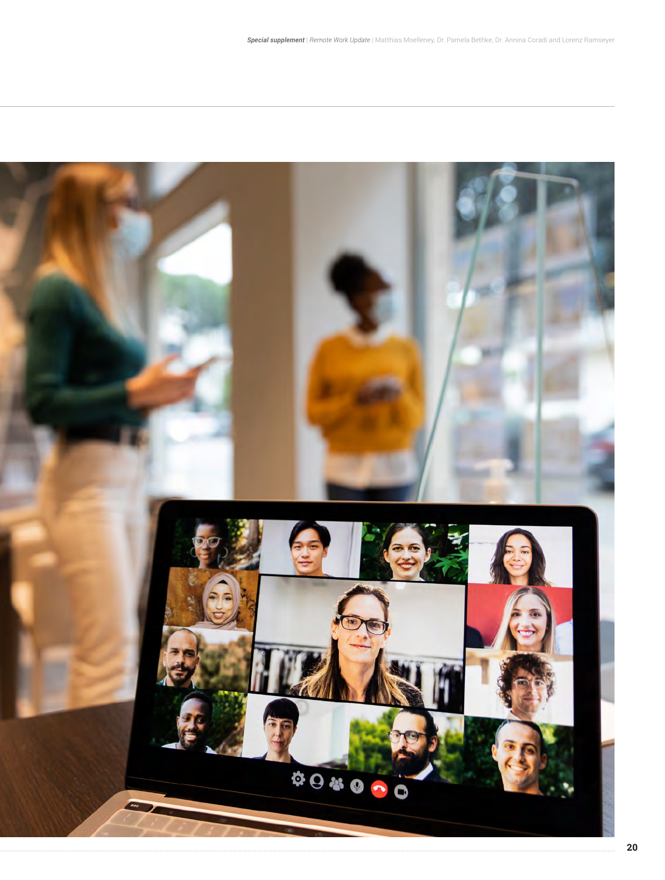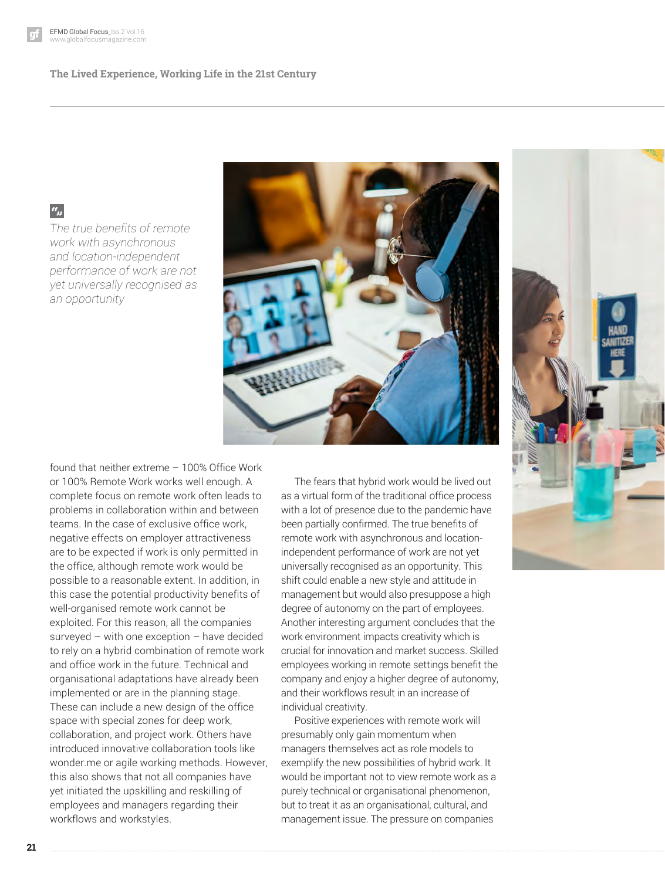# $u_{\mu}$

*The true benefits of remote work with asynchronous and location-independent performance of work are not yet universally recognised as an opportunity* 

![](_page_2_Picture_4.jpeg)

found that neither extreme – 100% Office Work or 100% Remote Work works well enough. A complete focus on remote work often leads to problems in collaboration within and between teams. In the case of exclusive office work, negative effects on employer attractiveness are to be expected if work is only permitted in the office, although remote work would be possible to a reasonable extent. In addition, in this case the potential productivity benefits of well-organised remote work cannot be exploited. For this reason, all the companies surveyed – with one exception – have decided to rely on a hybrid combination of remote work and office work in the future. Technical and organisational adaptations have already been implemented or are in the planning stage. These can include a new design of the office space with special zones for deep work, collaboration, and project work. Others have introduced innovative collaboration tools like wonder.me or agile working methods. However, this also shows that not all companies have yet initiated the upskilling and reskilling of employees and managers regarding their workflows and workstyles.

The fears that hybrid work would be lived out as a virtual form of the traditional office process with a lot of presence due to the pandemic have been partially confirmed. The true benefits of remote work with asynchronous and locationindependent performance of work are not yet universally recognised as an opportunity. This shift could enable a new style and attitude in management but would also presuppose a high degree of autonomy on the part of employees. Another interesting argument concludes that the work environment impacts creativity which is crucial for innovation and market success. Skilled employees working in remote settings benefit the company and enjoy a higher degree of autonomy, and their workflows result in an increase of individual creativity.

Positive experiences with remote work will presumably only gain momentum when managers themselves act as role models to exemplify the new possibilities of hybrid work. It would be important not to view remote work as a purely technical or organisational phenomenon, but to treat it as an organisational, cultural, and management issue. The pressure on companies

![](_page_2_Picture_8.jpeg)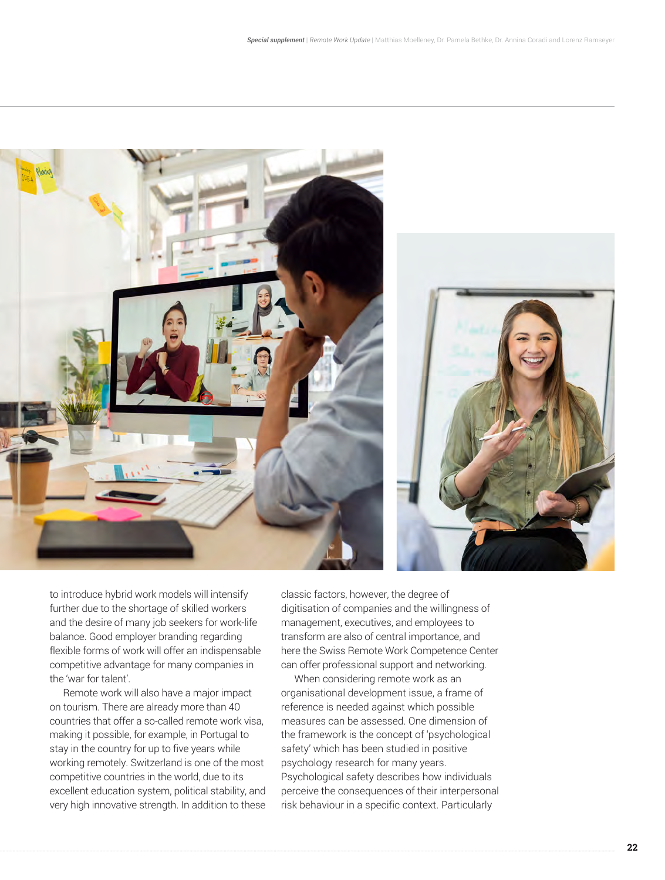![](_page_3_Picture_1.jpeg)

![](_page_3_Picture_2.jpeg)

to introduce hybrid work models will intensify further due to the shortage of skilled workers and the desire of many job seekers for work-life balance. Good employer branding regarding flexible forms of work will offer an indispensable competitive advantage for many companies in the 'war for talent'.

Remote work will also have a major impact on tourism. There are already more than 40 countries that offer a so-called remote work visa, making it possible, for example, in Portugal to stay in the country for up to five years while working remotely. Switzerland is one of the most competitive countries in the world, due to its excellent education system, political stability, and very high innovative strength. In addition to these classic factors, however, the degree of digitisation of companies and the willingness of management, executives, and employees to transform are also of central importance, and here the Swiss Remote Work Competence Center can offer professional support and networking.

When considering remote work as an organisational development issue, a frame of reference is needed against which possible measures can be assessed. One dimension of the framework is the concept of 'psychological safety' which has been studied in positive psychology research for many years. Psychological safety describes how individuals perceive the consequences of their interpersonal risk behaviour in a specific context. Particularly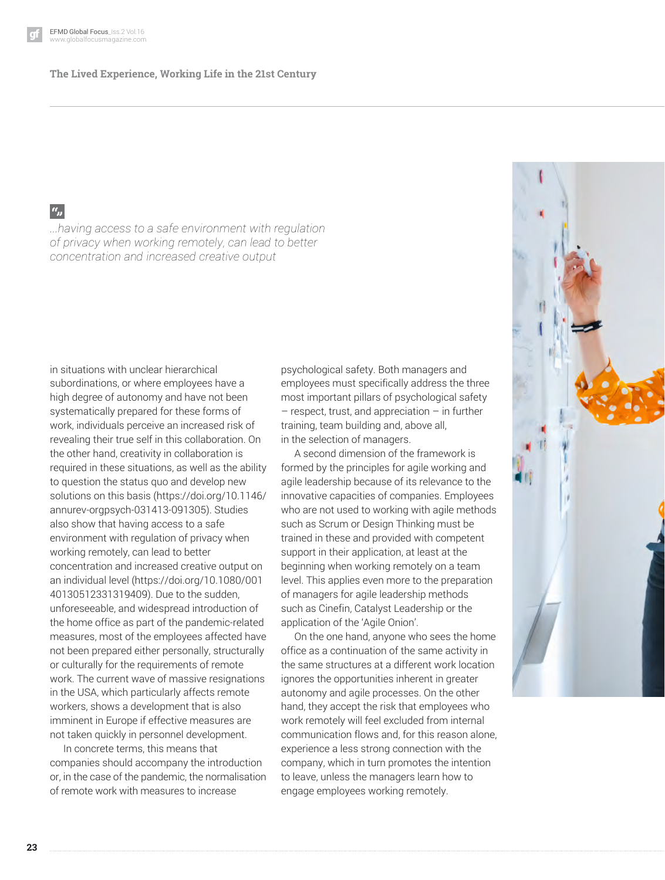#### **The Lived Experience, Working Life in the 21st Century**

## $a_{ii}$

*...having access to a safe environment with regulation of privacy when working remotely, can lead to better concentration and increased creative output*

in situations with unclear hierarchical subordinations, or where employees have a high degree of autonomy and have not been systematically prepared for these forms of work, individuals perceive an increased risk of revealing their true self in this collaboration. On the other hand, creativity in collaboration is required in these situations, as well as the ability to question the status quo and develop new solutions on this basis (https://doi.org/10.1146/ annurev-orgpsych-031413-091305). Studies also show that having access to a safe environment with regulation of privacy when working remotely, can lead to better concentration and increased creative output on an individual level (https://doi.org/10.1080/001 40130512331319409). Due to the sudden, unforeseeable, and widespread introduction of the home office as part of the pandemic-related measures, most of the employees affected have not been prepared either personally, structurally or culturally for the requirements of remote work. The current wave of massive resignations in the USA, which particularly affects remote workers, shows a development that is also imminent in Europe if effective measures are not taken quickly in personnel development.

In concrete terms, this means that companies should accompany the introduction or, in the case of the pandemic, the normalisation of remote work with measures to increase

psychological safety. Both managers and employees must specifically address the three most important pillars of psychological safety – respect, trust, and appreciation – in further training, team building and, above all, in the selection of managers.

A second dimension of the framework is formed by the principles for agile working and agile leadership because of its relevance to the innovative capacities of companies. Employees who are not used to working with agile methods such as Scrum or Design Thinking must be trained in these and provided with competent support in their application, at least at the beginning when working remotely on a team level. This applies even more to the preparation of managers for agile leadership methods such as Cinefin, Catalyst Leadership or the application of the 'Agile Onion'.

On the one hand, anyone who sees the home office as a continuation of the same activity in the same structures at a different work location ignores the opportunities inherent in greater autonomy and agile processes. On the other hand, they accept the risk that employees who work remotely will feel excluded from internal communication flows and, for this reason alone, experience a less strong connection with the company, which in turn promotes the intention to leave, unless the managers learn how to engage employees working remotely.

![](_page_4_Picture_9.jpeg)